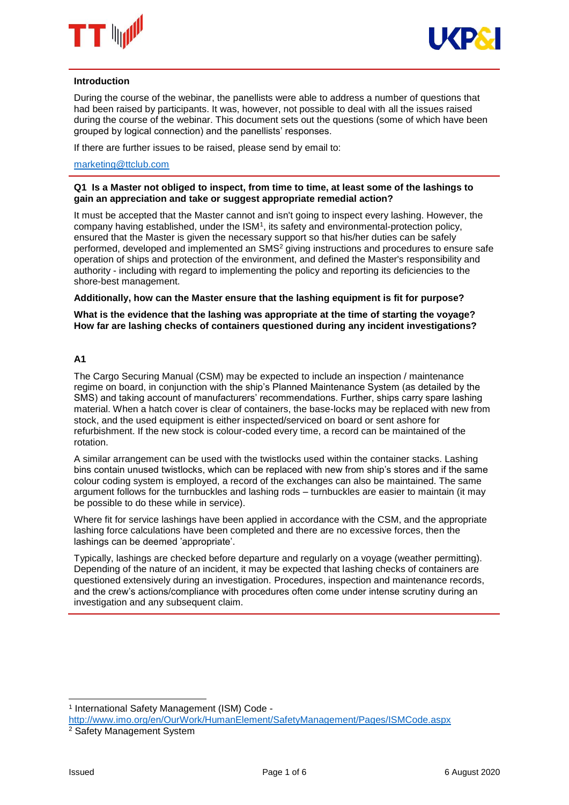



#### **Introduction**

During the course of the webinar, the panellists were able to address a number of questions that had been raised by participants. It was, however, not possible to deal with all the issues raised during the course of the webinar. This document sets out the questions (some of which have been grouped by logical connection) and the panellists' responses.

If there are further issues to be raised, please send by email to:

## [marketing@ttclub.com](mailto:marketing@ttclub.com)

### **Q1 Is a Master not obliged to inspect, from time to time, at least some of the lashings to gain an appreciation and take or suggest appropriate remedial action?**

It must be accepted that the Master cannot and isn't going to inspect every lashing. However, the company having established, under the ISM<sup>1</sup>, its safety and environmental-protection policy, ensured that the Master is given the necessary support so that his/her duties can be safely performed, developed and implemented an SMS<sup>2</sup> giving instructions and procedures to ensure safe operation of ships and protection of the environment, and defined the Master's responsibility and authority - including with regard to implementing the policy and reporting its deficiencies to the shore-best management.

### **Additionally, how can the Master ensure that the lashing equipment is fit for purpose?**

**What is the evidence that the lashing was appropriate at the time of starting the voyage? How far are lashing checks of containers questioned during any incident investigations?**

### **A1**

The Cargo Securing Manual (CSM) may be expected to include an inspection / maintenance regime on board, in conjunction with the ship's Planned Maintenance System (as detailed by the SMS) and taking account of manufacturers' recommendations. Further, ships carry spare lashing material. When a hatch cover is clear of containers, the base-locks may be replaced with new from stock, and the used equipment is either inspected/serviced on board or sent ashore for refurbishment. If the new stock is colour-coded every time, a record can be maintained of the rotation.

A similar arrangement can be used with the twistlocks used within the container stacks. Lashing bins contain unused twistlocks, which can be replaced with new from ship's stores and if the same colour coding system is employed, a record of the exchanges can also be maintained. The same argument follows for the turnbuckles and lashing rods – turnbuckles are easier to maintain (it may be possible to do these while in service).

Where fit for service lashings have been applied in accordance with the CSM, and the appropriate lashing force calculations have been completed and there are no excessive forces, then the lashings can be deemed 'appropriate'.

Typically, lashings are checked before departure and regularly on a voyage (weather permitting). Depending of the nature of an incident, it may be expected that lashing checks of containers are questioned extensively during an investigation. Procedures, inspection and maintenance records, and the crew's actions/compliance with procedures often come under intense scrutiny during an investigation and any subsequent claim.

1

<sup>1</sup> International Safety Management (ISM) Code -

<http://www.imo.org/en/OurWork/HumanElement/SafetyManagement/Pages/ISMCode.aspx> <sup>2</sup> Safety Management System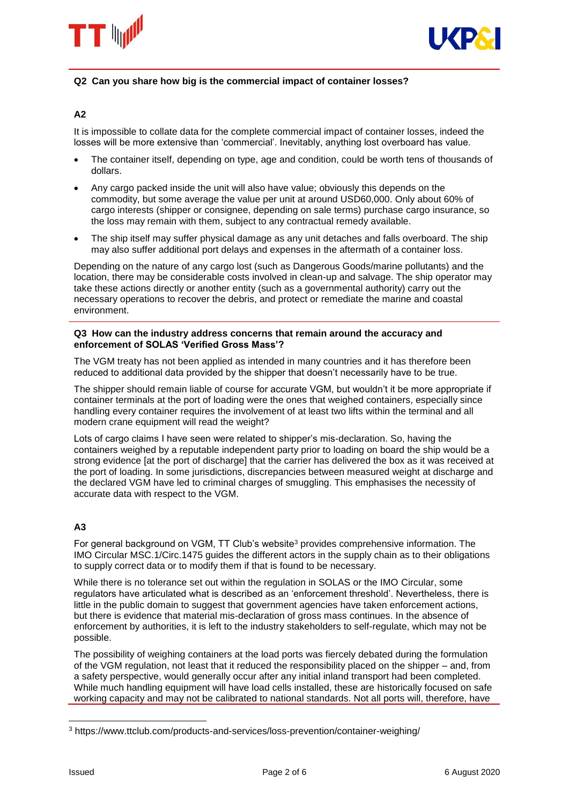



### **Q2 Can you share how big is the commercial impact of container losses?**

# **A2**

It is impossible to collate data for the complete commercial impact of container losses, indeed the losses will be more extensive than 'commercial'. Inevitably, anything lost overboard has value.

- The container itself, depending on type, age and condition, could be worth tens of thousands of dollars.
- Any cargo packed inside the unit will also have value; obviously this depends on the commodity, but some average the value per unit at around USD60,000. Only about 60% of cargo interests (shipper or consignee, depending on sale terms) purchase cargo insurance, so the loss may remain with them, subject to any contractual remedy available.
- The ship itself may suffer physical damage as any unit detaches and falls overboard. The ship may also suffer additional port delays and expenses in the aftermath of a container loss.

Depending on the nature of any cargo lost (such as Dangerous Goods/marine pollutants) and the location, there may be considerable costs involved in clean-up and salvage. The ship operator may take these actions directly or another entity (such as a governmental authority) carry out the necessary operations to recover the debris, and protect or remediate the marine and coastal environment.

#### **Q3 How can the industry address concerns that remain around the accuracy and enforcement of SOLAS 'Verified Gross Mass'?**

The VGM treaty has not been applied as intended in many countries and it has therefore been reduced to additional data provided by the shipper that doesn't necessarily have to be true.

The shipper should remain liable of course for accurate VGM, but wouldn't it be more appropriate if container terminals at the port of loading were the ones that weighed containers, especially since handling every container requires the involvement of at least two lifts within the terminal and all modern crane equipment will read the weight?

Lots of cargo claims I have seen were related to shipper's mis-declaration. So, having the containers weighed by a reputable independent party prior to loading on board the ship would be a strong evidence [at the port of discharge] that the carrier has delivered the box as it was received at the port of loading. In some jurisdictions, discrepancies between measured weight at discharge and the declared VGM have led to criminal charges of smuggling. This emphasises the necessity of accurate data with respect to the VGM.

# **A3**

For general background on VGM, TT Club's website<sup>3</sup> provides comprehensive information. The IMO Circular MSC.1/Circ.1475 guides the different actors in the supply chain as to their obligations to supply correct data or to modify them if that is found to be necessary.

While there is no tolerance set out within the regulation in SOLAS or the IMO Circular, some regulators have articulated what is described as an 'enforcement threshold'. Nevertheless, there is little in the public domain to suggest that government agencies have taken enforcement actions, but there is evidence that material mis-declaration of gross mass continues. In the absence of enforcement by authorities, it is left to the industry stakeholders to self-regulate, which may not be possible.

The possibility of weighing containers at the load ports was fiercely debated during the formulation of the VGM regulation, not least that it reduced the responsibility placed on the shipper – and, from a safety perspective, would generally occur after any initial inland transport had been completed. While much handling equipment will have load cells installed, these are historically focused on safe working capacity and may not be calibrated to national standards. Not all ports will, therefore, have

-

<sup>3</sup> https://www.ttclub.com/products-and-services/loss-prevention/container-weighing/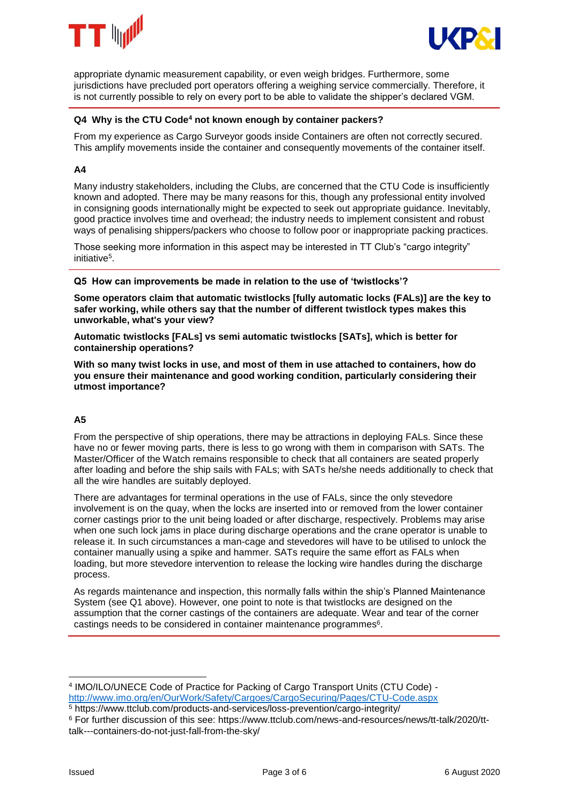



appropriate dynamic measurement capability, or even weigh bridges. Furthermore, some jurisdictions have precluded port operators offering a weighing service commercially. Therefore, it is not currently possible to rely on every port to be able to validate the shipper's declared VGM.

# **Q4 Why is the CTU Code<sup>4</sup> not known enough by container packers?**

From my experience as Cargo Surveyor goods inside Containers are often not correctly secured. This amplify movements inside the container and consequently movements of the container itself.

# **A4**

Many industry stakeholders, including the Clubs, are concerned that the CTU Code is insufficiently known and adopted. There may be many reasons for this, though any professional entity involved in consigning goods internationally might be expected to seek out appropriate guidance. Inevitably, good practice involves time and overhead; the industry needs to implement consistent and robust ways of penalising shippers/packers who choose to follow poor or inappropriate packing practices.

Those seeking more information in this aspect may be interested in TT Club's "cargo integrity" initiative<sup>5</sup> .

**Q5 How can improvements be made in relation to the use of 'twistlocks'?**

**Some operators claim that automatic twistlocks [fully automatic locks (FALs)] are the key to safer working, while others say that the number of different twistlock types makes this unworkable, what's your view?**

**Automatic twistlocks [FALs] vs semi automatic twistlocks [SATs], which is better for containership operations?**

**With so many twist locks in use, and most of them in use attached to containers, how do you ensure their maintenance and good working condition, particularly considering their utmost importance?** 

# **A5**

From the perspective of ship operations, there may be attractions in deploying FALs. Since these have no or fewer moving parts, there is less to go wrong with them in comparison with SATs. The Master/Officer of the Watch remains responsible to check that all containers are seated properly after loading and before the ship sails with FALs; with SATs he/she needs additionally to check that all the wire handles are suitably deployed.

There are advantages for terminal operations in the use of FALs, since the only stevedore involvement is on the quay, when the locks are inserted into or removed from the lower container corner castings prior to the unit being loaded or after discharge, respectively. Problems may arise when one such lock jams in place during discharge operations and the crane operator is unable to release it. In such circumstances a man-cage and stevedores will have to be utilised to unlock the container manually using a spike and hammer. SATs require the same effort as FALs when loading, but more stevedore intervention to release the locking wire handles during the discharge process.

As regards maintenance and inspection, this normally falls within the ship's Planned Maintenance System (see Q1 above). However, one point to note is that twistlocks are designed on the assumption that the corner castings of the containers are adequate. Wear and tear of the corner castings needs to be considered in container maintenance programmes<sup>6</sup>.

1

<sup>4</sup> IMO/ILO/UNECE Code of Practice for Packing of Cargo Transport Units (CTU Code) <http://www.imo.org/en/OurWork/Safety/Cargoes/CargoSecuring/Pages/CTU-Code.aspx>

<sup>5</sup> https://www.ttclub.com/products-and-services/loss-prevention/cargo-integrity/

<sup>6</sup> For further discussion of this see: https://www.ttclub.com/news-and-resources/news/tt-talk/2020/tttalk---containers-do-not-just-fall-from-the-sky/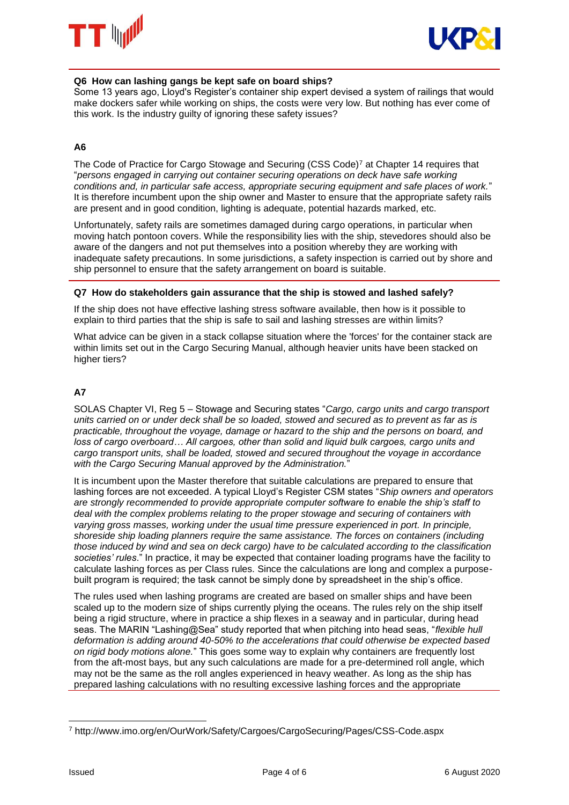



# **Q6 How can lashing gangs be kept safe on board ships?**

Some 13 years ago, Lloyd's Register's container ship expert devised a system of railings that would make dockers safer while working on ships, the costs were very low. But nothing has ever come of this work. Is the industry guilty of ignoring these safety issues?

# **A6**

The Code of Practice for Cargo Stowage and Securing (CSS Code)<sup>7</sup> at Chapter 14 requires that "*persons engaged in carrying out container securing operations on deck have safe working conditions and, in particular safe access, appropriate securing equipment and safe places of work.*" It is therefore incumbent upon the ship owner and Master to ensure that the appropriate safety rails are present and in good condition, lighting is adequate, potential hazards marked, etc.

Unfortunately, safety rails are sometimes damaged during cargo operations, in particular when moving hatch pontoon covers. While the responsibility lies with the ship, stevedores should also be aware of the dangers and not put themselves into a position whereby they are working with inadequate safety precautions. In some jurisdictions, a safety inspection is carried out by shore and ship personnel to ensure that the safety arrangement on board is suitable.

## **Q7 How do stakeholders gain assurance that the ship is stowed and lashed safely?**

If the ship does not have effective lashing stress software available, then how is it possible to explain to third parties that the ship is safe to sail and lashing stresses are within limits?

What advice can be given in a stack collapse situation where the 'forces' for the container stack are within limits set out in the Cargo Securing Manual, although heavier units have been stacked on higher tiers?

# **A7**

SOLAS Chapter VI, Reg 5 – Stowage and Securing states "*Cargo, cargo units and cargo transport units carried on or under deck shall be so loaded, stowed and secured as to prevent as far as is practicable, throughout the voyage, damage or hazard to the ship and the persons on board, and*  loss of cargo overboard... All cargoes, other than solid and liquid bulk cargoes, cargo units and *cargo transport units, shall be loaded, stowed and secured throughout the voyage in accordance with the Cargo Securing Manual approved by the Administration.*"

It is incumbent upon the Master therefore that suitable calculations are prepared to ensure that lashing forces are not exceeded. A typical Lloyd's Register CSM states "*Ship owners and operators are strongly recommended to provide appropriate computer software to enable the ship's staff to deal with the complex problems relating to the proper stowage and securing of containers with varying gross masses, working under the usual time pressure experienced in port. In principle, shoreside ship loading planners require the same assistance. The forces on containers (including those induced by wind and sea on deck cargo) have to be calculated according to the classification societies' rules*." In practice, it may be expected that container loading programs have the facility to calculate lashing forces as per Class rules. Since the calculations are long and complex a purposebuilt program is required; the task cannot be simply done by spreadsheet in the ship's office.

The rules used when lashing programs are created are based on smaller ships and have been scaled up to the modern size of ships currently plying the oceans. The rules rely on the ship itself being a rigid structure, where in practice a ship flexes in a seaway and in particular, during head seas. The MARIN "Lashing@Sea" study reported that when pitching into head seas, "*flexible hull deformation is adding around 40-50% to the accelerations that could otherwise be expected based on rigid body motions alone.*" This goes some way to explain why containers are frequently lost from the aft-most bays, but any such calculations are made for a pre-determined roll angle, which may not be the same as the roll angles experienced in heavy weather. As long as the ship has prepared lashing calculations with no resulting excessive lashing forces and the appropriate

<sup>-</sup><sup>7</sup> http://www.imo.org/en/OurWork/Safety/Cargoes/CargoSecuring/Pages/CSS-Code.aspx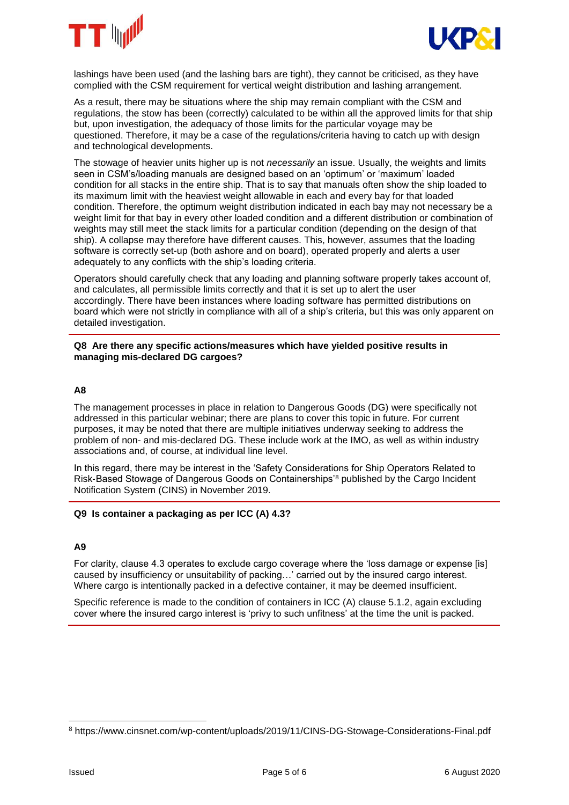



lashings have been used (and the lashing bars are tight), they cannot be criticised, as they have complied with the CSM requirement for vertical weight distribution and lashing arrangement.

As a result, there may be situations where the ship may remain compliant with the CSM and regulations, the stow has been (correctly) calculated to be within all the approved limits for that ship but, upon investigation, the adequacy of those limits for the particular voyage may be questioned. Therefore, it may be a case of the regulations/criteria having to catch up with design and technological developments.

The stowage of heavier units higher up is not *necessarily* an issue. Usually, the weights and limits seen in CSM's/loading manuals are designed based on an 'optimum' or 'maximum' loaded condition for all stacks in the entire ship. That is to say that manuals often show the ship loaded to its maximum limit with the heaviest weight allowable in each and every bay for that loaded condition. Therefore, the optimum weight distribution indicated in each bay may not necessary be a weight limit for that bay in every other loaded condition and a different distribution or combination of weights may still meet the stack limits for a particular condition (depending on the design of that ship). A collapse may therefore have different causes. This, however, assumes that the loading software is correctly set-up (both ashore and on board), operated properly and alerts a user adequately to any conflicts with the ship's loading criteria.

Operators should carefully check that any loading and planning software properly takes account of, and calculates, all permissible limits correctly and that it is set up to alert the user accordingly. There have been instances where loading software has permitted distributions on board which were not strictly in compliance with all of a ship's criteria, but this was only apparent on detailed investigation.

### **Q8 Are there any specific actions/measures which have yielded positive results in managing mis-declared DG cargoes?**

### **A8**

The management processes in place in relation to Dangerous Goods (DG) were specifically not addressed in this particular webinar; there are plans to cover this topic in future. For current purposes, it may be noted that there are multiple initiatives underway seeking to address the problem of non- and mis-declared DG. These include work at the IMO, as well as within industry associations and, of course, at individual line level.

In this regard, there may be interest in the 'Safety Considerations for Ship Operators Related to Risk‐Based Stowage of Dangerous Goods on Containerships'<sup>8</sup> published by the Cargo Incident Notification System (CINS) in November 2019.

### **Q9 Is container a packaging as per ICC (A) 4.3?**

### **A9**

For clarity, clause 4.3 operates to exclude cargo coverage where the 'loss damage or expense [is] caused by insufficiency or unsuitability of packing…' carried out by the insured cargo interest. Where cargo is intentionally packed in a defective container, it may be deemed insufficient.

Specific reference is made to the condition of containers in ICC (A) clause 5.1.2, again excluding cover where the insured cargo interest is 'privy to such unfitness' at the time the unit is packed.

<sup>-</sup><sup>8</sup> https://www.cinsnet.com/wp-content/uploads/2019/11/CINS-DG-Stowage-Considerations-Final.pdf